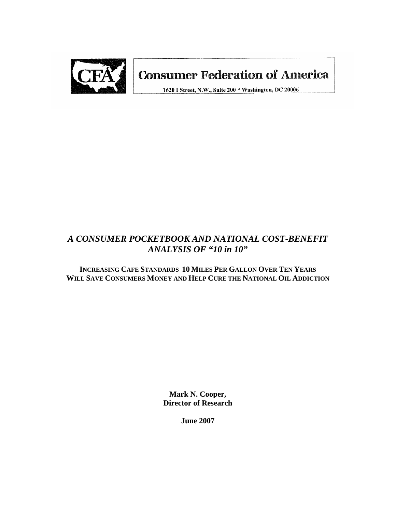

## **Consumer Federation of America**

1620 I Street, N.W., Suite 200 \* Washington, DC 20006

# *A CONSUMER POCKETBOOK AND NATIONAL COST-BENEFIT*

## *ANALYSIS OF "10 in 10"* **INCREASING CAFE STANDARDS 10 MILES PER GALLON OVER TEN YEARS WILL SAVE CONSUMERS MONEY AND HELP CURE THE NATIONAL OIL ADDICTION**

**Mark N. Cooper, Director of Research**

**June 2007**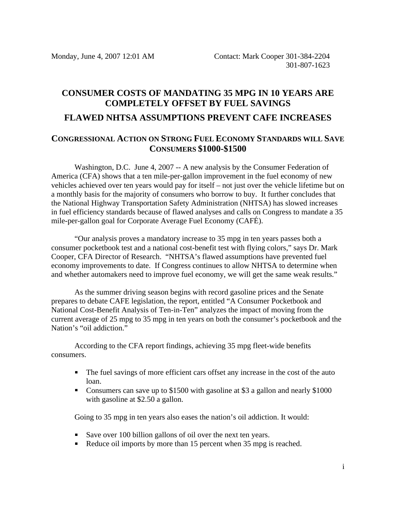## **CONSUMER COSTS OF MANDATING 35 MPG IN 10 YEARS ARE COMPLETELY OFFSET BY FUEL SAVINGS**

#### **FLAWED NHTSA ASSUMPTIONS PREVENT CAFE INCREASES**

#### **CONGRESSIONAL ACTION ON STRONG FUEL ECONOMY STANDARDS WILL SAVE CONSUMERS \$1000-\$1500**

Washington, D.C. June 4, 2007 -- A new analysis by the Consumer Federation of America (CFA) shows that a ten mile-per-gallon improvement in the fuel economy of new vehicles achieved over ten years would pay for itself – not just over the vehicle lifetime but on a monthly basis for the majority of consumers who borrow to buy. It further concludes that the National Highway Transportation Safety Administration (NHTSA) has slowed increases in fuel efficiency standards because of flawed analyses and calls on Congress to mandate a 35 mile-per-gallon goal for Corporate Average Fuel Economy (CAFÉ).

"Our analysis proves a mandatory increase to 35 mpg in ten years passes both a consumer pocketbook test and a national cost-benefit test with flying colors," says Dr. Mark Cooper, CFA Director of Research. "NHTSA's flawed assumptions have prevented fuel economy improvements to date. If Congress continues to allow NHTSA to determine when and whether automakers need to improve fuel economy, we will get the same weak results."

As the summer driving season begins with record gasoline prices and the Senate prepares to debate CAFE legislation, the report, entitled "A Consumer Pocketbook and National Cost-Benefit Analysis of Ten-in-Ten" analyzes the impact of moving from the current average of 25 mpg to 35 mpg in ten years on both the consumer's pocketbook and the Nation's "oil addiction."

According to the CFA report findings, achieving 35 mpg fleet-wide benefits

- consumers. The fuel savings of more efficient cars offset any increase in the cost of the auto loan.
	- Consumers can save up to \$1500 with gasoline at \$3 a gallon and nearly \$1000 with gasoline at \$2.50 a gallon.

Going to 35 mpg in ten years also eases the nation's oil addiction. It would:

- Save over 100 billion gallons of oil over the next ten years.
- Reduce oil imports by more than 15 percent when 35 mpg is reached.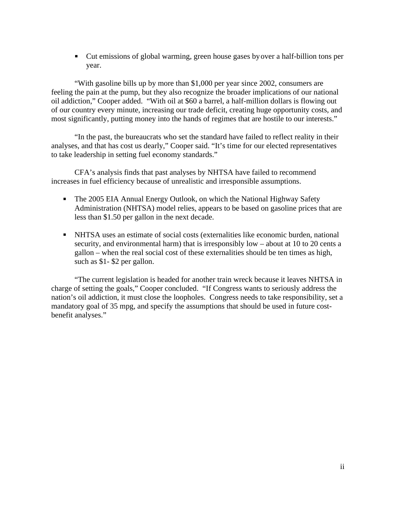Cut emissions of global warming, green house gases by over a half-billion tons per year.

"With gasoline bills up by more than \$1,000 per year since 2002, consumers are feeling the pain at the pump, but they also recognize the broader implications of our national oil addiction," Cooper added. "With oil at \$60 a barrel, a half-million dollars is flowing out of our country every minute, increasing our trade deficit, creating huge opportunity costs, and most significantly, putting money into the hands of regimes that are hostile to our interests."

"In the past, the bureaucrats who set the standard have failed to reflect reality in their analyses, and that has cost us dearly," Cooper said. "It's time for our elected representatives to take leadership in setting fuel economy standards."

CFA's analysis finds that past analyses by NHTSA have failed to recommend increases in fuel efficiency because of unrealistic and irresponsible assumptions.

- The 2005 EIA Annual Energy Outlook, on which the National Highway Safety Administration (NHTSA) model relies, appears to be based on gasoline prices that are less than \$1.50 per gallon in the next decade.
- NHTSA uses an estimate of social costs (externalities like economic burden, national security, and environmental harm) that is irresponsibly low – about at 10 to 20 cents a gallon – when the real social cost of these externalities should be ten times as high, such as \$1- \$2 per gallon.<br>
"The current legislation is headed for another train wreck because it leaves NHTSA in

charge of setting the goals," Cooper concluded. "If Congress wants to seriously address the nation's oil addiction, it must close the loopholes. Congress needs to take responsibility, set a mandatory goal of 35 mpg, and specify the assumptions that should be used in future cost benefit analyses."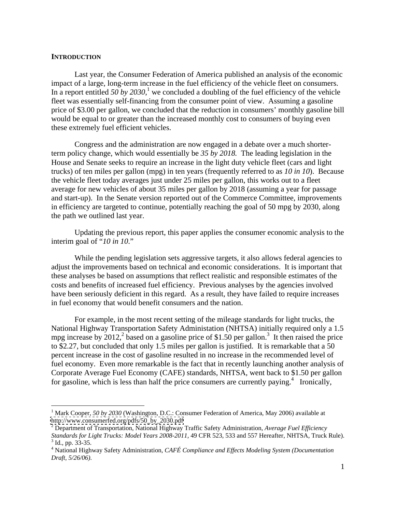#### **INTRODUCTION**

Last year, the Consumer Federation of America published an analysis of the economic impact of a large, long-term increase in the fuel efficiency of the vehicle fleet on consumers. In a report entitled  $50$  by  $2030$ ,<sup>1</sup> we concluded a doubling of the fuel efficiency of the vehicle fleet was essentially self-financing from the consumer point of view. Assuming a gasoline price of \$3.00 per gallon, we concluded that the reduction in consumers' monthly gasoline bill would be equal to or greater than the increased monthly cost to consumers of buying even these extremely fuel efficient vehicles.

Congress and the administration are now engaged in a debate over a much shorterterm policy change, which would essentially be *35 by 2018.* The leading legislation in the House and Senate seeks to require an increase in the light duty vehicle fleet (cars and light trucks) of ten miles per gallon (mpg) in ten years (frequently referred to as *10 in 10*). Because the vehicle fleet today averages just under 25 miles per gallon, this works out to a fleet average for new vehicles of about 35 miles per gallon by 2018 (assuming a year for passage and start-up). In the Senate version reported out of the Commerce Committee, improvements in efficiency are targeted to continue, potentially reaching the goal of 50 mpg by 2030, along the path we outlined last year.

Updating the previous report, this paper applies the consumer economic analysis to the interim goal of "*10 in 10*."

While the pending legislation sets aggressive targets, it also allows federal agencies to adjust the improvements based on technical and economic considerations. It is important that these analyses be based on assumptions that reflect realistic and responsible estimates of the costs and benefits of increased fuel efficiency. Previous analyses by the agencies involved have been seriously deficient in this regard. As a result, they have failed to require increases in fuel economy that would benefit consumers and the nation.

For example, in the most recent setting of the mileage standards for light trucks, the National Highway Transportation Safety Administation (NHTSA) initially required only a 1.5 mpg increase by 2012,<sup>2</sup> based on a gasoline price of \$1.50 per gallon.<sup>3</sup> It then raised the price to \$2.27, but concluded that only 1.5 miles per gallon is justified. It is remarkable that a 50 percent increase in the cost of gasoline resulted in no increase in the recommended level of fuel economy. Even more remarkable is the fact that in recently launching another analysis of Corporate Average Fuel Economy (CAFE) standards, NHTSA, went back to \$1.50 per gallon for gasoline, which is less than half the price consumers are currently paying.<sup>4</sup> Ironically, Ironically,

<sup>&</sup>lt;sup>1</sup> Mark Cooper, *50 by 2030* (Washington, D.C.: Consumer Federation of America, May 2006) available at

[http://www.consumerfed.org/pdfs/50\\_by\\_2030.pdf](http://www.consumerfed.org/pdfs/50_by_2030.pdf) <sup>2</sup> Department of Transportation, National Highway Traffic Safety Administration, *Average Fuel Efficiency Standards for Light Trucks: Model Years 2008-2011, 49 CFR 523, 533 and 557 Hereafter, NHTSA, Truck Rule).* <sup>3</sup> Id., pp. 33-35.

<sup>&</sup>lt;sup>3</sup> Id., pp. 33-35.<br><sup>4</sup> National Highway Safety Administration, *CAFÉ Compliance and Effects Modeling System (Documentation* <sup>2</sup> *Draft, 5/26/06).*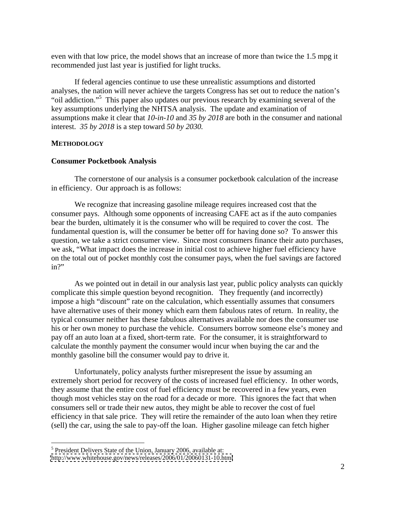even with that low price, the model shows that an increase of more than twice the 1.5 mpg it recommended just last year is justified for light trucks.

If federal agencies continue to use these unrealistic assumptions and distorted analyses, the nation will never achieve the targets Congress has set out to reduce the nation's "oil addiction."<sup>5</sup> This paper also updates our previous research by examining several of the key assumptions underlying the NHTSA analysis. The update and examination of assumptions make it clear that *10-in-10* and *35 by 2018* are both in the consumer and national interest. *35 by 2018* is a step toward *50 by 2030.* 

#### **METHODOLOGY**

#### **Consumer Pocketbook Analysis**

The cornerstone of our analysis is a consumer pocketbook calculation of the increase in efficiency. Our approach is as follows:

We recognize that increasing gasoline mileage requires increased cost that the consumer pays. Although some opponents of increasing CAFE act as if the auto companies bear the burden, ultimately it is the consumer who will be required to cover the cost. The fundamental question is, will the consumer be better off for having done so? To answer this question, we take a strict consumer view. Since most consumers finance their auto purchases, we ask, "What impact does the increase in initial cost to achieve higher fuel efficiency have on the total out of pocket monthly cost the consumer pays, when the fuel savings are factored in?"

As we pointed out in detail in our analysis last year, public policy analysts can quickly complicate this simple question beyond recognition. They frequently (and incorrectly) impose a high "discount" rate on the calculation, which essentially assumes that consumers have alternative uses of their money which earn them fabulous rates of return. In reality, the typical consumer neither has these fabulous alternatives available nor does the consumer use his or her own money to purchase the vehicle. Consumers borrow someone else's money and pay off an auto loan at a fixed, short-term rate. For the consumer, it is straightforward to calculate the monthly payment the consumer would incur when buying the car and the monthly gasoline bill the consumer would pay to drive it.

Unfortunately, policy analysts further misrepresent the issue by assuming an extremely short period for recovery of the costs of increased fuel efficiency. In other words, they assume that the entire cost of fuel efficiency must be recovered in a few years, even though most vehicles stay on the road for a decade or more. This ignores the fact that when consumers sell or trade their new autos, they might be able to recover the cost of fuel efficiency in that sale price. They will retire the remainder of the auto loan when they retire (sell) the car, using the sale to pay-off the loan. Higher gasoline mileage can fetch higher

 <sup>5</sup> President Delivers State of the Union, January 2006, available at: <http://www.whitehouse.gov/news/releases/2006/01/20060131-10.html>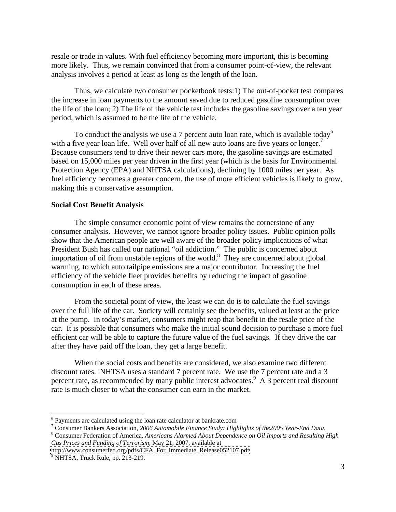resale or trade in values. With fuel efficiency becoming more important, this is becoming more likely. Thus, we remain convinced that from a consumer point-of-view, the relevant analysis involves a period at least as long as the length of the loan.

Thus, we calculate two consumer pocketbook tests:1) The out-of-pocket test compares the increase in loan payments to the amount saved due to reduced gasoline consumption over the life of the loan; 2) The life of the vehicle test includes the gasoline savings over a ten year period, which is assumed to be the life of the vehicle.

To conduct the analysis we use a 7 percent auto loan rate, which is available today<sup>6</sup> with a five year loan life. Well over half of all new auto loans are five years or longer.<sup>7</sup><br>Because consumers tend to drive their newer cars more, the gasoline savings are estimated based on 15,000 miles per year driven in the first year (which is the basis for Environmental Protection Agency (EPA) and NHTSA calculations), declining by 1000 miles per year. As fuel efficiency becomes a greater concern, the use of more efficient vehicles is likely to grow, making this a conservative assumption.

#### **Social Cost Benefit Analysis**

The simple consumer economic point of view remains the cornerstone of any consumer analysis. However, we cannot ignore broader policy issues. Public opinion polls show that the American people are well aware of the broader policy implications of what President Bush has called our national "oil addiction." The public is concerned about importation of oil from unstable regions of the world.<sup>8</sup> They are concerned about global warming, to which auto tailpipe emissions are a major contributor. Increasing the fuel efficiency of the vehicle fleet provides benefits by reducing the impact of gasoline consumption in each of these areas.

From the societal point of view, the least we can do is to calculate the fuel savings over the full life of the car. Society will certainly see the benefits, valued at least at the price at the pump. In today's market, consumers might reap that benefit in the resale price of the car. It is possible that consumers who make the initial sound decision to purchase a more fuel efficient car will be able to capture the future value of the fuel savings. If they drive the car after they have paid off the loan, they get a large benefit.

When the social costs and benefits are considered, we also examine two different discount rates. NHTSA uses a standard 7 percent rate. We use the 7 percent rate and a 3 percent rate, as recommended by many public interest advocates.  $\overline{9}$  A  $\overline{3}$  percent real discount rate is much closer to what the consumer can earn in the market.

 <sup>6</sup> Payments are calculated using the loan rate calculator at bankrate.com

<sup>&</sup>lt;sup>7</sup> Consumer Bankers Association, *2006 Automobile Finance Study: Highlights of the2005 Year-End Data,*<br><sup>8</sup> Consumer Esderation of America, Americans Algrmed About Dependence on Oil Imports and Pesulting High

Consumer Federation of America, *Americans Alarmed About Dependence on Oil Imports and Resulting High Gas Prices and Funding of Terrorism,* May 21, 2007, available at

[http://www.consumerfed.org/pdfs/CFA\\_For\\_Immediate\\_Release052107.pdf](http://www.consumerfed.org/pdfs/CFA_For_Immediate_Release052107.pdf)

 $9$  NHTSA, Truck Rule, pp. 213-219.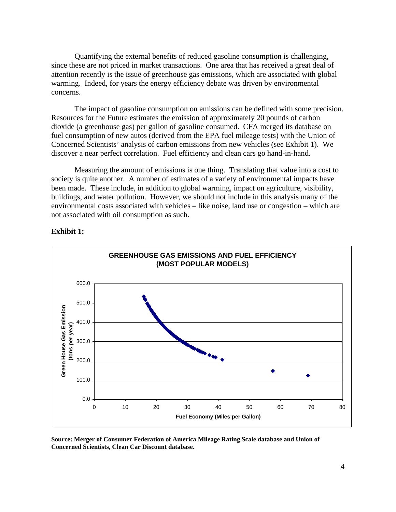Quantifying the external benefits of reduced gasoline consumption is challenging, since these are not priced in market transactions. One area that has received a great deal of attention recently is the issue of greenhouse gas emissions, which are associated with global warming. Indeed, for years the energy efficiency debate was driven by environmental concerns.

The impact of gasoline consumption on emissions can be defined with some precision. Resources for the Future estimates the emission of approximately 20 pounds of carbon dioxide (a greenhouse gas) per gallon of gasoline consumed. CFA merged its database on fuel consumption of new autos (derived from the EPA fuel mileage tests) with the Union of Concerned Scientists' analysis of carbon emissions from new vehicles (see Exhibit 1). We discover a near perfect correlation. Fuel efficiency and clean cars go hand-in-hand.

Measuring the amount of emissions is one thing. Translating that value into a cost to society is quite another. A number of estimates of a variety of environmental impacts have been made. These include, in addition to global warming, impact on agriculture, visibility, buildings, and water pollution. However, we should not include in this analysis many of the environmental costs associated with vehicles – like noise, land use or congestion – which are not associated with oil consumption as such.



#### **Exhibit 1:**

**Source: Merger of Consumer Federation of America Mileage Rating Scale database and Union of Concerned Scientists, Clean Car Discount database.**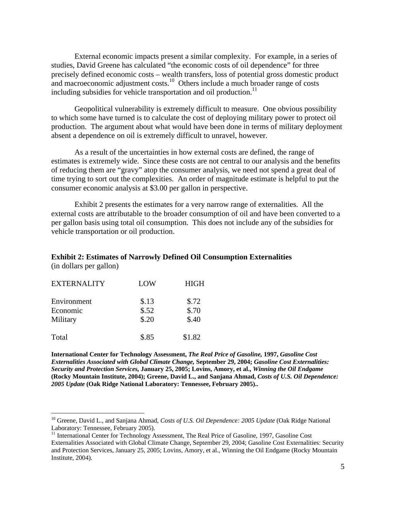External economic impacts present a similar complexity. For example, in a series of studies, David Greene has calculated "the economic costs of oil dependence" for three precisely defined economic costs – wealth transfers, loss of potential gross domestic product and macroeconomic adjustment costs.<sup>10</sup> Others include a much broader range of costs including subsidies for vehicle transportation and oil production.<sup>11</sup>

 Geopolitical vulnerability is extremely difficult to measure. One obvious possibility to which some have turned is to calculate the cost of deploying military power to protect oil production. The argument about what would have been done in terms of military deployment absent a dependence on oil is extremely difficult to unravel, however.

As a result of the uncertainties in how external costs are defined, the range of estimates is extremely wide. Since these costs are not central to our analysis and the benefits of reducing them are "gravy" atop the consumer analysis, we need not spend a great deal of time trying to sort out the complexities. An order of magnitude estimate is helpful to put the consumer economic analysis at \$3.00 per gallon in perspective.

Exhibit 2 presents the estimates for a very narrow range of externalities. All the external costs are attributable to the broader consumption of oil and have been converted to a per gallon basis using total oil consumption. This does not include any of the subsidies for vehicle transportation or oil production.

### **Exhibit 2: Estimates of Narrowly Defined Oil Consumption Externalities**

(in dollars per gallon)

| <b>EXTERNALITY</b>      | LOW           | HIGH   |  |  |  |  |
|-------------------------|---------------|--------|--|--|--|--|
| Environment<br>Economic | \$.13         | \$.72  |  |  |  |  |
|                         | $\$.52$       | \$.70  |  |  |  |  |
| Military                | $\$.20$       | \$.40  |  |  |  |  |
|                         |               |        |  |  |  |  |
| Total                   | \$.85<br>4.00 | \$1.82 |  |  |  |  |

**International Center for Technology Assessment,** *The Real Price of Gasoline,* **1997,** *Gasoline Cost Externalities Associated with Global Climate Change,* **September 29, 2004;** *Gasoline Cost Externalities: Security and Protection Services,* **January 25, 2005; Lovins, Amory, et al.,** *Winning the Oil Endgame*  **(Rocky Mountain Institute, 2004); Greene, David L., and Sanjana Ahmad,** *Costs of U.S. Oil Dependence: 2005 Update* **(Oak Ridge National Laboratory: Tennessee, February 2005)..** 

<sup>&</sup>lt;sup>10</sup> Greene, David L., and Sanjana Ahmad, *Costs of U.S. Oil Dependence: 2005 Update* (Oak Ridge National Laboratory: Tennessee, February 2005).

 $11$  International Center for Technology Assessment, The Real Price of Gasoline, 1997, Gasoline Cost Externalities Associated with Global Climate Change, September 29, 2004; Gasoline Cost Externalities: Security and Protection Services, January 25, 2005; Lovins, Amory, et al., Winning the Oil Endgame (Rocky Mountain Institute, 2004).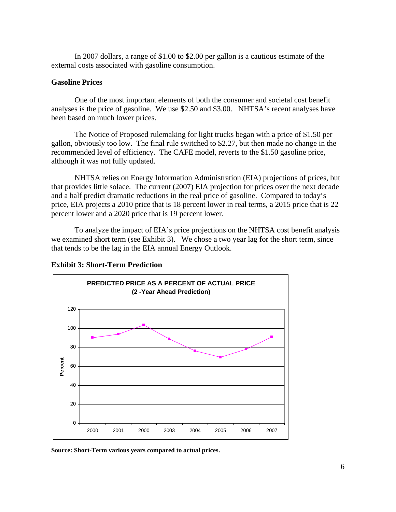In 2007 dollars, a range of \$1.00 to \$2.00 per gallon is a cautious estimate of the external costs associated with gasoline consumption.

#### **Gasoline Prices**

One of the most important elements of both the consumer and societal cost benefit analyses is the price of gasoline. We use \$2.50 and \$3.00. NHTSA's recent analyses have been based on much lower prices.

The Notice of Proposed rulemaking for light trucks began with a price of \$1.50 per gallon, obviously too low. The final rule switched to \$2.27, but then made no change in the recommended level of efficiency. The CAFE model, reverts to the \$1.50 gasoline price, although it was not fully updated.

NHTSA relies on Energy Information Administration (EIA) projections of prices, but that provides little solace. The current (2007) EIA projection for prices over the next decade and a half predict dramatic reductions in the real price of gasoline. Compared to today's price, EIA projects a 2010 price that is 18 percent lower in real terms, a 2015 price that is 22 percent lower and a 2020 price that is 19 percent lower.

To analyze the impact of EIA's price projections on the NHTSA cost benefit analysis we examined short term (see Exhibit 3). We chose a two year lag for the short term, since that tends to be the lag in the EIA annual Energy Outlook.

**Exhibit 3: Short-Term Prediction**

![](_page_8_Figure_7.jpeg)

**Source: Short-Term various years compared to actual prices.**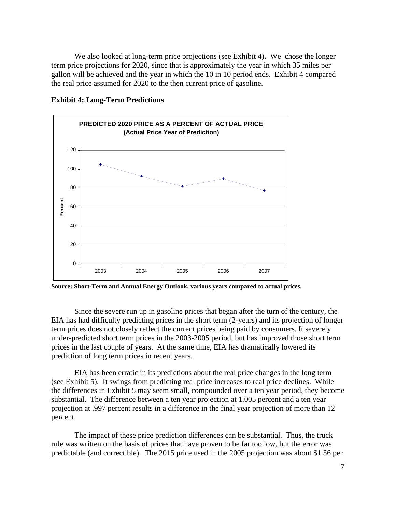term price projections for 2020, since that is approximately the year in which 35 miles per gallon will be achieved and the year in which the 10 in 10 period ends. Exhibit 4 compared the real price assumed for 2020 to the then current price of gasoline.

![](_page_9_Figure_1.jpeg)

**Exhibit 4: Long-Term Predictions**

**Source: Short-Term and Annual Energy Outlook, various years compared to actual prices.**

Since the severe run up in gasoline prices that began after the turn of the century, the EIA has had difficulty predicting prices in the short term (2-years) and its projection of longer term prices does not closely reflect the current prices being paid by consumers. It severely under-predicted short term prices in the 2003-2005 period, but has improved those short term prices in the last couple of years. At the same time, EIA has dramatically lowered its prediction of long term prices in recent years.

EIA has been erratic in its predictions about the real price changes in the long term (see Exhibit 5). It swings from predicting real price increases to real price declines. While the differences in Exhibit 5 may seem small, compounded over a ten year period, they become substantial. The difference between a ten year projection at 1.005 percent and a ten year projection at .997 percent results in a difference in the final year projection of more than 12 percent.

The impact of these price prediction differences can be substantial. Thus, the truck rule was written on the basis of prices that have proven to be far too low, but the error was predictable (and correctible). The 2015 price used in the 2005 projection was about \$1.56 per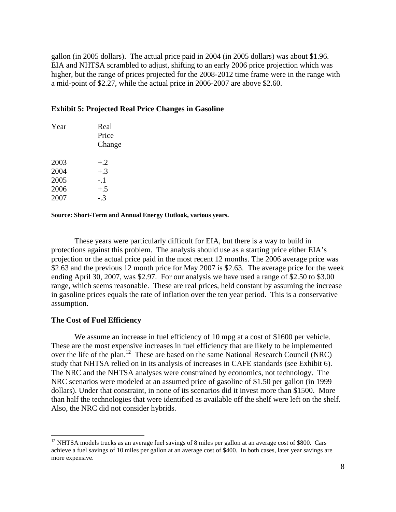gallon (in 2005 dollars). The actual price paid in 2004 (in 2005 dollars) was about \$1.96. EIA and NHTSA scrambled to adjust, shifting to an early 2006 price projection which was higher, but the range of prices projected for the 2008-2012 time frame were in the range with a mid-point of \$2.27, while the actual price in 2006-2007 are above \$2.60.

#### **Exhibit 5: Projected Real Price Changes in Gasoline**

| Year                         | Real   |  |  |
|------------------------------|--------|--|--|
|                              | Price  |  |  |
|                              | Change |  |  |
|                              |        |  |  |
| 2003                         | $+.2$  |  |  |
|                              | $+.3$  |  |  |
|                              | $-.1$  |  |  |
|                              | $+.5$  |  |  |
| 2004<br>2005<br>2006<br>2007 | $-.3$  |  |  |

**Source: Short-Term and Annual Energy Outlook, various years.**

These years were particularly difficult for EIA, but there is a way to build in protections against this problem. The analysis should use as a starting price either EIA's projection or the actual price paid in the most recent 12 months. The 2006 average price was \$2.63 and the previous 12 month price for May 2007 is \$2.63. The average price for the week ending April 30, 2007, was \$2.97. For our analysis we have used a range of \$2.50 to \$3.00 range, which seems reasonable. These are real prices, held constant by assuming the increase in gasoline prices equals the rate of inflation over the ten year period. This is a conservative assumption.

#### **The Cost of Fuel Efficiency**

We assume an increase in fuel efficiency of 10 mpg at a cost of \$1600 per vehicle. These are the most expensive increases in fuel efficiency that are likely to be implemented over the life of the plan.<sup>12</sup> These are based on the same National Research Council (NRC) study that NHTSA relied on in its analysis of increases in CAFE standards (see Exhibit 6). The NRC and the NHTSA analyses were constrained by economics, not technology. The NRC scenarios were modeled at an assumed price of gasoline of \$1.50 per gallon (in 1999 dollars). Under that constraint, in none of its scenarios did it invest more than \$1500. More than half the technologies that were identified as available off the shelf were left on the shelf. Also, the NRC did not consider hybrids.

<sup>&</sup>lt;sup>12</sup> NHTSA models trucks as an average fuel savings of 8 miles per gallon at an average cost of \$800. Cars achieve a fuel savings of 10 miles per gallon at an average cost of \$400. In both cases, later year savings are more expensive.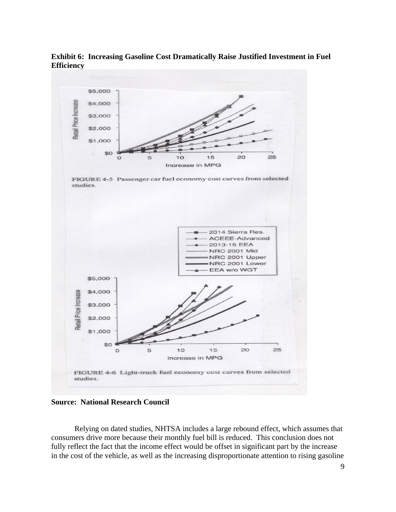![](_page_11_Figure_0.jpeg)

**Exhibit 6: Increasing Gasoline Cost Dramatically Raise Justified Investment in Fuel Efficiency**

**Source: National Research Council**

 Relying on dated studies, NHTSA includes a large rebound effect, which assumes that consumers drive more because their monthly fuel bill is reduced. This conclusion does not fully reflect the fact that the income effect would be offset in significant part by the increase in the cost of the vehicle, as well as the increasing disproportionate attention to rising gasoline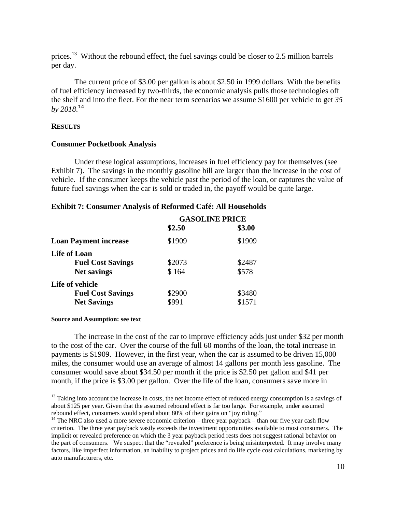prices.<sup>13</sup> Without the rebound effect, the fuel savings could be closer to 2.5 million barrels per day.

The current price of \$3.00 per gallon is about \$2.50 in 1999 dollars. With the benefits of fuel efficiency increased by two-thirds, the economic analysis pulls those technologies off the shelf and into the fleet. For the near term scenarios we assume \$1600 per vehicle to get *35 by 2018*.<sup>14</sup>

#### **RESULTS**

#### **Consumer Pocketbook Analysis**

Under these logical assumptions, increases in fuel efficiency pay for themselves (see Exhibit 7). The savings in the monthly gasoline bill are larger than the increase in the cost of vehicle. If the consumer keeps the vehicle past the period of the loan, or captures the value of future fuel savings when the car is sold or traded in, the payoff would be quite large.

|                              |        | <b>GASOLINE PRICE</b> |  |
|------------------------------|--------|-----------------------|--|
|                              | \$2.50 | \$3.00                |  |
| <b>Loan Payment increase</b> | \$1909 | \$1909                |  |
| Life of Loan                 |        |                       |  |
| <b>Fuel Cost Savings</b>     | \$2073 | \$2487                |  |
| <b>Net savings</b>           | \$164  | \$578                 |  |
| Life of vehicle              |        |                       |  |
| <b>Fuel Cost Savings</b>     | \$2900 | \$3480                |  |
| <b>Net Savings</b>           | \$991  | \$1571                |  |

#### **Exhibit 7: Consumer Analysis of Reformed Café: All Households**

#### **Source and Assumption: see text**

The increase in the cost of the car to improve efficiency adds just under \$32 per month to the cost of the car. Over the course of the full 60 months of the loan, the total increase in payments is \$1909. However, in the first year, when the car is assumed to be driven 15,000 miles, the consumer would use an average of almost 14 gallons per month less gasoline. The consumer would save about \$34.50 per month if the price is \$2.50 per gallon and \$41 per month, if the price is \$3.00 per gallon. Over the life of the loan, consumers save more in

 $13$  Taking into account the increase in costs, the net income effect of reduced energy consumption is a savings of about \$125 per year. Given that the assumed rebound effect is far too large. For example, under assumed rebound effect, consumers would spend about 80% of their gains on "joy riding."<br><sup>14</sup> The NRC also used a more severe economic criterion – three year payback – than our five year cash flow

criterion. The three year payback vastly exceeds the investment opportunities available to most consumers. The implicit or revealed preference on which the 3 year payback period rests does not suggest rational behavior on the part of consumers. We suspect that the "revealed" preference is being misinterpreted. It may involve many factors, like imperfect information, an inability to project prices and do life cycle cost calculations, marketing by auto manufacturers, etc.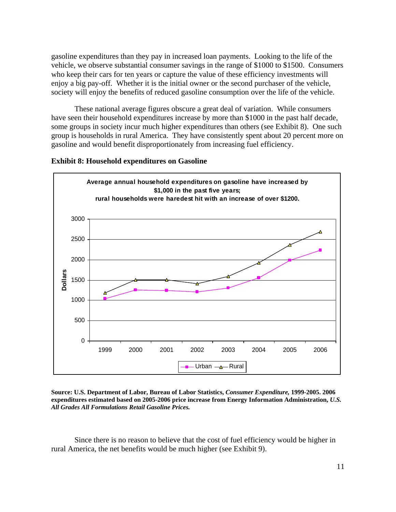gasoline expenditures than they pay in increased loan payments. Looking to the life of the vehicle, we observe substantial consumer savings in the range of \$1000 to \$1500. Consumers who keep their cars for ten years or capture the value of these efficiency investments will enjoy a big pay-off. Whether it is the initial owner or the second purchaser of the vehicle, society will enjoy the benefits of reduced gasoline consumption over the life of the vehicle.

These national average figures obscure a great deal of variation. While consumers have seen their household expenditures increase by more than \$1000 in the past half decade, some groups in society incur much higher expenditures than others (see Exhibit 8). One such group is households in rural America. They have consistently spent about 20 percent more on gasoline and would benefit disproportionately from increasing fuel efficiency.

#### **Exhibit 8: Household expenditures on Gasoline**

![](_page_13_Figure_3.jpeg)

**Source: U.S. Department of Labor, Bureau of Labor Statistics,** *Consumer Expenditure,* **1999-2005. 2006 expenditures estimated based on 2005-2006 price increase from Energy Information Administration,** *U.S. All Grades All Formulations Retail Gasoline Prices.*

Since there is no reason to believe that the cost of fuel efficiency would be higher in rural America, the net benefits would be much higher (see Exhibit 9).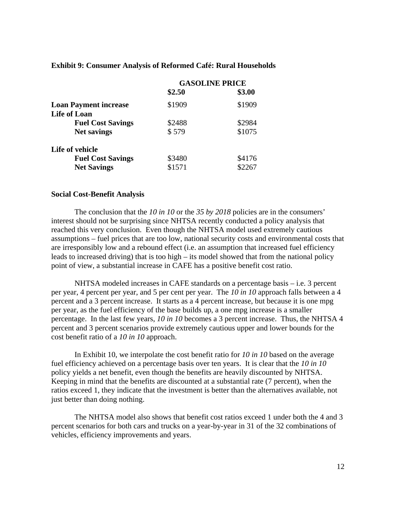#### **Exhibit 9: Consumer Analysis of Reformed Café: Rural Households**

|                                                     |                 | <b>GASOLINE PRICE</b> |  |
|-----------------------------------------------------|-----------------|-----------------------|--|
|                                                     | \$2.50          | \$3.00                |  |
| <b>Loan Payment increase</b><br><b>Life of Loan</b> | \$1909          | \$1909                |  |
| <b>Fuel Cost Savings</b><br><b>Net savings</b>      | \$2488<br>\$579 | \$2984<br>\$1075      |  |
| Life of vehicle                                     |                 |                       |  |
| <b>Fuel Cost Savings</b>                            | \$3480          | \$4176                |  |
| <b>Net Savings</b>                                  | \$1571          | \$2267                |  |

#### **Social Cost-Benefit Analysis**

The conclusion that the *10 in 10* or the *35 by 2018* policies are in the consumers' interest should not be surprising since NHTSA recently conducted a policy analysis that reached this very conclusion. Even though the NHTSA model used extremely cautious assumptions – fuel prices that are too low, national security costs and environmental costs that are irresponsibly low and a rebound effect (i.e. an assumption that increased fuel efficiency leads to increased driving) that is too high – its model showed that from the national policy point of view, a substantial increase in CAFE has a positive benefit cost ratio.

NHTSA modeled increases in CAFE standards on a percentage basis – i.e. 3 percent per year, 4 percent per year, and 5 per cent per year. The *10 in 10* approach falls between a 4 percent and a 3 percent increase. It starts as a 4 percent increase, but because it is one mpg per year, as the fuel efficiency of the base builds up, a one mpg increase is a smaller percentage. In the last few years, *10 in 10* becomes a 3 percent increase. Thus, the NHTSA 4 percent and 3 percent scenarios provide extremely cautious upper and lower bounds for the cost benefit ratio of a *10 in 10* approach.

In Exhibit 10, we interpolate the cost benefit ratio for *10 in 10* based on the average fuel efficiency achieved on a percentage basis over ten years. It is clear that the *10 in 10*  policy yields a net benefit, even though the benefits are heavily discounted by NHTSA. Keeping in mind that the benefits are discounted at a substantial rate (7 percent), when the ratios exceed 1, they indicate that the investment is better than the alternatives available, not just better than doing nothing.

The NHTSA model also shows that benefit cost ratios exceed 1 under both the 4 and 3 percent scenarios for both cars and trucks on a year-by-year in 31 of the 32 combinations of vehicles, efficiency improvements and years.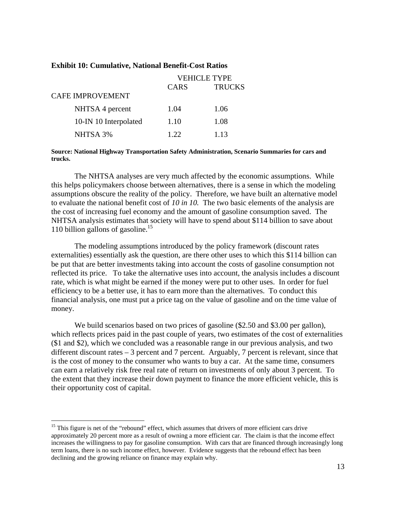#### **Exhibit 10: Cumulative, National Benefit-Cost Ratios**

|                       |              | <b>VEHICLE TYPE</b> |
|-----------------------|--------------|---------------------|
|                       | CARS         | TRUCKS              |
| CAFE IMPROVEMENT      |              |                     |
| NHTSA 4 percent       |              |                     |
| 10-IN 10 Interpolated | 1.10         | 1.00                |
| NHTSA 3%              | 1. <i>ll</i> | 1.19                |

#### **Source: National Highway Transportation Safety Administration, Scenario Summaries for cars and trucks.**

The NHTSA analyses are very much affected by the economic assumptions. While this helps policymakers choose between alternatives, there is a sense in which the modeling assumptions obscure the reality of the policy. Therefore, we have built an alternative model to evaluate the national benefit cost of *10 in 10.* The two basic elements of the analysis are the cost of increasing fuel economy and the amount of gasoline consumption saved. The NHTSA analysis estimates that society will have to spend about \$114 billion to save about 110 billion gallons of gasoline.<sup>15</sup>

 The modeling assumptions introduced by the policy framework (discount rates externalities) essentially ask the question, are there other uses to which this \$114 billion can be put that are better investments taking into account the costs of gasoline consumption not reflected its price. To take the alternative uses into account, the analysis includes a discount rate, which is what might be earned if the money were put to other uses. In order for fuel efficiency to be a better use, it has to earn more than the alternatives. To conduct this financial analysis, one must put a price tag on the value of gasoline and on the time value of money.

We build scenarios based on two prices of gasoline (\$2.50 and \$3.00 per gallon), which reflects prices paid in the past couple of years, two estimates of the cost of externalities (\$1 and \$2), which we concluded was a reasonable range in our previous analysis, and two different discount rates – 3 percent and 7 percent. Arguably, 7 percent is relevant, since that is the cost of money to the consumer who wants to buy a car. At the same time, consumers can earn a relatively risk free real rate of return on investments of only about 3 percent. To the extent that they increase their down payment to finance the more efficient vehicle, this is their opportunity cost of capital.

<sup>&</sup>lt;sup>15</sup> This figure is net of the "rebound" effect, which assumes that drivers of more efficient cars drive approximately 20 percent more as a result of owning a more efficient car. The claim is that the income effect increases the willingness to pay for gasoline consumption. With cars that are financed through increasingly long term loans, there is no such income effect, however. Evidence suggests that the rebound effect has been declining and the growing reliance on finance may explain why.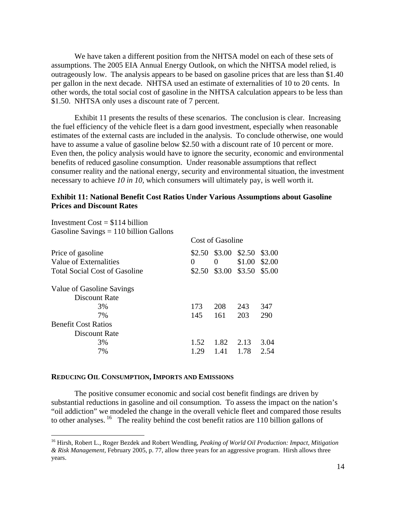We have taken a different position from the NHTSA model on each of these sets of assumptions. The 2005 EIA Annual Energy Outlook, on which the NHTSA model relied, is outrageously low. The analysis appears to be based on gasoline prices that are less than \$1.40 per gallon in the next decade. NHTSA used an estimate of externalities of 10 to 20 cents. In other words, the total social cost of gasoline in the NHTSA calculation appears to be less than \$1.50. NHTSA only uses a discount rate of 7 percent.

Exhibit 11 presents the results of these scenarios. The conclusion is clear. Increasing the fuel efficiency of the vehicle fleet is a darn good investment, especially when reasonable estimates of the external casts are included in the analysis. To conclude otherwise, one would have to assume a value of gasoline below \$2.50 with a discount rate of 10 percent or more. Even then, the policy analysis would have to ignore the security, economic and environmental benefits of reduced gasoline consumption. Under reasonable assumptions that reflect consumer reality and the national energy, security and environmental situation, the investment necessary to achieve *10 in 10,* which consumers will ultimately pay, is well worth it.

#### **Exhibit 11: National Benefit Cost Ratios Under Various Assumptions about Gasoline Prices and Discount Rates**

Investment  $Cost = $114$  billion Gasoline Savings = 110 billion Gallons

|                                      | Cost of Gasoline            |  |  |
|--------------------------------------|-----------------------------|--|--|
| Price of gasoline                    | \$2.50 \$3.00 \$2.50 \$3.00 |  |  |
| Value of Externalities               | $$1.00$ \$2.00              |  |  |
| <b>Total Social Cost of Gasoline</b> | \$2.50 \$3.00 \$3.50 \$5.00 |  |  |
| Value of Gasoline Savings            |                             |  |  |
| Discount Rate                        |                             |  |  |
| 3%                                   | 173 208 243 347             |  |  |
| 7%                                   | 145 161 203 290             |  |  |
| <b>Benefit Cost Ratios</b>           |                             |  |  |
| Discount Rate                        |                             |  |  |
| 3%                                   | 1.52 1.82 2.13 3.04         |  |  |
| 70                                   | 1.29 1.41 1.78 2.54         |  |  |
|                                      |                             |  |  |

#### **REDUCING OIL CONSUMPTION, IMPORTS AND EMISSIONS**

The positive consumer economic and social cost benefit findings are driven by substantial reductions in gasoline and oil consumption. To assess the impact on the nation's "oil addiction" we modeled the change in the overall vehicle fleet and compared those results to other analyses.  $16$  The reality behind the cost benefit ratios are 110 billion gallons of

 <sup>16</sup> Hirsh, Robert L., Roger Bezdek and Robert Wendling, *Peaking of World Oil Production: Impact, Mitigation & Risk Management,* February 2005, p. 77, allow three years for an aggressive program. Hirsh allows three years.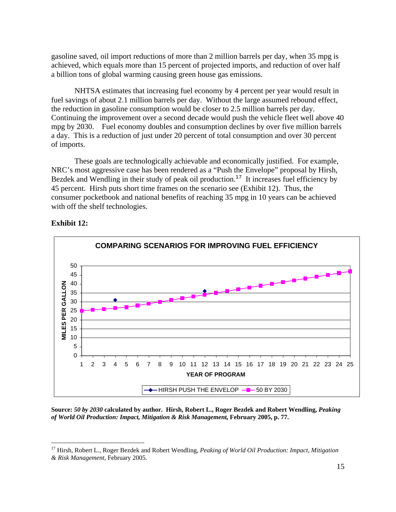gasoline saved, oil import reductions of more than 2 million barrels per day, when 35 mpg is achieved, which equals more than 15 percent of projected imports, and reduction of over half a billion tons of global warming causing green house gas emissions.

NHTSA estimates that increasing fuel economy by 4 percent per year would result in fuel savings of about 2.1 million barrels per day. Without the large assumed rebound effect, the reduction in gasoline consumption would be closer to 2.5 million barrels per day. Continuing the improvement over a second decade would push the vehicle fleet well above 40 mpg by 2030. Fuel economy doubles and consumption declines by over five million barrels a day. This is a reduction of just under 20 percent of total consumption and over 30 percent of imports.

These goals are technologically achievable and economically justified. For example, NRC's most aggressive case has been rendered as a "Push the Envelope" proposal by Hirsh, Bezdek and Wendling in their study of peak oil production.<sup>17</sup> It increases fuel efficiency by 45 percent. Hirsh puts short time frames on the scenario see (Exhibit 12). Thus, the consumer pocketbook and national benefits of reaching 35 mpg in 10 years can be achieved with off the shelf technologies.

![](_page_17_Figure_3.jpeg)

#### **Exhibit 12:**

**Source:** *50 by 2030* **calculated by author. Hirsh, Robert L., Roger Bezdek and Robert Wendling,** *Peaking of World Oil Production: Impact, Mitigation & Risk Management,* **February 2005, p. 77.**

 <sup>17</sup> Hirsh, Robert L., Roger Bezdek and Robert Wendling, *Peaking of World Oil Production: Impact, Mitigation & Risk Management,* February 2005.